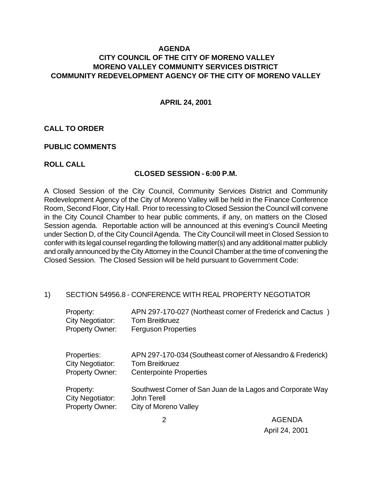## **AGENDA CITY COUNCIL OF THE CITY OF MORENO VALLEY MORENO VALLEY COMMUNITY SERVICES DISTRICT COMMUNITY REDEVELOPMENT AGENCY OF THE CITY OF MORENO VALLEY**

**APRIL 24, 2001**

### **CALL TO ORDER**

#### **PUBLIC COMMENTS**

#### **ROLL CALL**

#### **CLOSED SESSION - 6:00 P.M.**

A Closed Session of the City Council, Community Services District and Community Redevelopment Agency of the City of Moreno Valley will be held in the Finance Conference Room, Second Floor, City Hall. Prior to recessing to Closed Session the Council will convene in the City Council Chamber to hear public comments, if any, on matters on the Closed Session agenda. Reportable action will be announced at this evening's Council Meeting under Section D, of the City Council Agenda. The City Council will meet in Closed Session to confer with its legal counsel regarding the following matter(s) and any additional matter publicly and orally announced by the City Attorney in the Council Chamber at the time of convening the Closed Session. The Closed Session will be held pursuant to Government Code:

### 1) SECTION 54956.8 - CONFERENCE WITH REAL PROPERTY NEGOTIATOR

| Property:               | APN 297-170-027 (Northeast corner of Frederick and Cactus)   |
|-------------------------|--------------------------------------------------------------|
| <b>City Negotiator:</b> | <b>Tom Breitkruez</b>                                        |
| <b>Property Owner:</b>  | <b>Ferguson Properties</b>                                   |
| Properties:             | APN 297-170-034 (Southeast corner of Alessandro & Frederick) |
| City Negotiator:        | <b>Tom Breitkruez</b>                                        |
| <b>Property Owner:</b>  | <b>Centerpointe Properties</b>                               |
| Property:               | Southwest Corner of San Juan de la Lagos and Corporate Way   |
| City Negotiator:        | John Terell                                                  |
| <b>Property Owner:</b>  | City of Moreno Valley                                        |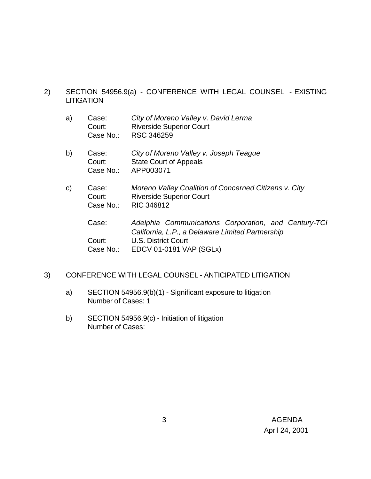- 2) SECTION 54956.9(a) CONFERENCE WITH LEGAL COUNSEL EXISTING **LITIGATION** 
	- a) Case: *City of Moreno Valley v. David Lerma* Court: Riverside Superior Court Case No.: RSC 346259
	- b) Case: *City of Moreno Valley v. Joseph Teague* Court: State Court of Appeals Case No.: APP003071
	- c) Case: *Moreno Valley Coalition of Concerned Citizens v. City* Court: Riverside Superior Court Case No.: RIC 346812

Case: *Adelphia Communications Corporation, and Century-TCI California, L.P., a Delaware Limited Partnership* Court: U.S. District Court Case No.: EDCV 01-0181 VAP (SGLx)

### 3) CONFERENCE WITH LEGAL COUNSEL - ANTICIPATED LITIGATION

- a) SECTION 54956.9(b)(1) Significant exposure to litigation Number of Cases: 1
- b) SECTION 54956.9(c) Initiation of litigation Number of Cases: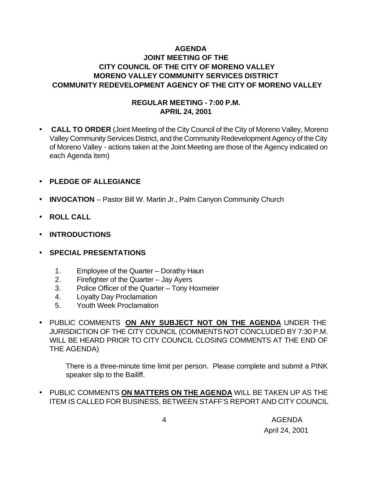# **AGENDA JOINT MEETING OF THE CITY COUNCIL OF THE CITY OF MORENO VALLEY MORENO VALLEY COMMUNITY SERVICES DISTRICT COMMUNITY REDEVELOPMENT AGENCY OF THE CITY OF MORENO VALLEY**

## **REGULAR MEETING - 7:00 P.M. APRIL 24, 2001**

• **CALL TO ORDER** (Joint Meeting of the City Council of the City of Moreno Valley, Moreno Valley Community Services District, and the Community Redevelopment Agency of the City of Moreno Valley - actions taken at the Joint Meeting are those of the Agency indicated on each Agenda item)

## • **PLEDGE OF ALLEGIANCE**

- **INVOCATION** Pastor Bill W. Martin Jr., Palm Canyon Community Church
- **ROLL CALL**
- **INTRODUCTIONS**
- **SPECIAL PRESENTATIONS**
	- 1. Employee of the Quarter Dorathy Haun
	- 2. Firefighter of the Quarter Jay Ayers
	- 3. Police Officer of the Quarter Tony Hoxmeier
	- 4. Loyalty Day Proclamation
	- 5. Youth Week Proclamation
- PUBLIC COMMENTS **ON ANY SUBJECT NOT ON THE AGENDA** UNDER THE JURISDICTION OF THE CITY COUNCIL (COMMENTS NOT CONCLUDED BY 7:30 P.M. WILL BE HEARD PRIOR TO CITY COUNCIL CLOSING COMMENTS AT THE END OF THE AGENDA)

There is a three-minute time limit per person. Please complete and submit a PINK speaker slip to the Bailiff.

• PUBLIC COMMENTS **ON MATTERS ON THE AGENDA** WILL BE TAKEN UP AS THE ITEM IS CALLED FOR BUSINESS, BETWEEN STAFF'S REPORT AND CITY COUNCIL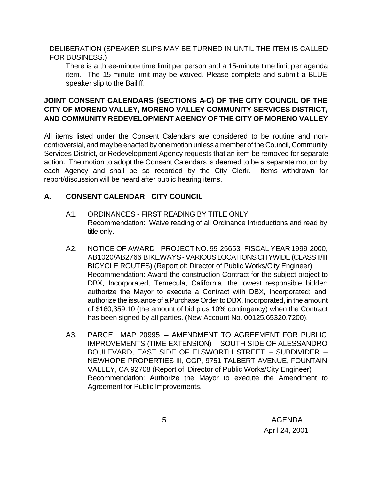DELIBERATION (SPEAKER SLIPS MAY BE TURNED IN UNTIL THE ITEM IS CALLED FOR BUSINESS.)

There is a three-minute time limit per person and a 15-minute time limit per agenda item. The 15-minute limit may be waived. Please complete and submit a BLUE speaker slip to the Bailiff.

# **JOINT CONSENT CALENDARS (SECTIONS A-C) OF THE CITY COUNCIL OF THE CITY OF MORENO VALLEY, MORENO VALLEY COMMUNITY SERVICES DISTRICT, AND COMMUNITY REDEVELOPMENT AGENCY OF THE CITY OF MORENO VALLEY**

All items listed under the Consent Calendars are considered to be routine and noncontroversial, and may be enacted by one motion unless a member of the Council, Community Services District, or Redevelopment Agency requests that an item be removed for separate action. The motion to adopt the Consent Calendars is deemed to be a separate motion by each Agency and shall be so recorded by the City Clerk. Items withdrawn for report/discussion will be heard after public hearing items.

# **A. CONSENT CALENDAR** - **CITY COUNCIL**

- A1. ORDINANCES FIRST READING BY TITLE ONLY Recommendation: Waive reading of all Ordinance Introductions and read by title only.
- A2. NOTICE OF AWARD-PROJECT NO. 99-25653- FISCAL YEAR 1999-2000, AB1020/AB2766 BIKEWAYS - VARIOUS LOCATIONS CITYWIDE (CLASS II/III BICYCLE ROUTES) (Report of: Director of Public Works/City Engineer) Recommendation: Award the construction Contract for the subject project to DBX, Incorporated, Temecula, California, the lowest responsible bidder; authorize the Mayor to execute a Contract with DBX, Incorporated; and authorize the issuance of a Purchase Order to DBX, Incorporated, in the amount of \$160,359.10 (the amount of bid plus 10% contingency) when the Contract has been signed by all parties. (New Account No. 00125.65320.7200).
- A3. PARCEL MAP 20995 AMENDMENT TO AGREEMENT FOR PUBLIC IMPROVEMENTS (TIME EXTENSION) – SOUTH SIDE OF ALESSANDRO BOULEVARD, EAST SIDE OF ELSWORTH STREET – SUBDIVIDER – NEWHOPE PROPERTIES III, CGP, 9751 TALBERT AVENUE, FOUNTAIN VALLEY, CA 92708 (Report of: Director of Public Works/City Engineer) Recommendation: Authorize the Mayor to execute the Amendment to Agreement for Public Improvements.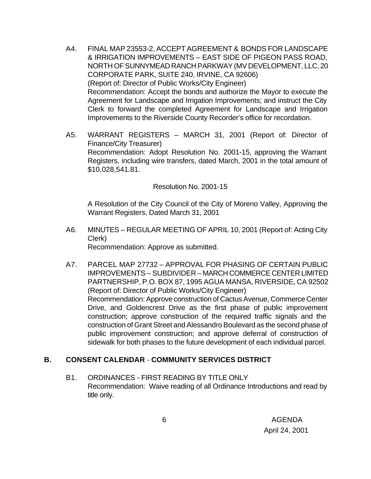- A4. FINAL MAP 23553-2, ACCEPT AGREEMENT & BONDS FOR LANDSCAPE & IRRIGATION IMPROVEMENTS – EAST SIDE OF PIGEON PASS ROAD, NORTH OF SUNNYMEAD RANCH PARKWAY (MV DEVELOPMENT, LLC, 20 CORPORATE PARK, SUITE 240, IRVINE, CA 92606) (Report of: Director of Public Works/City Engineer) Recommendation: Accept the bonds and authorize the Mayor to execute the Agreement for Landscape and Irrigation Improvements; and instruct the City Clerk to forward the completed Agreement for Landscape and Irrigation Improvements to the Riverside County Recorder's office for recordation.
- A5. WARRANT REGISTERS MARCH 31, 2001 (Report of: Director of Finance/City Treasurer) Recommendation: Adopt Resolution No. 2001-15, approving the Warrant Registers, including wire transfers, dated March, 2001 in the total amount of \$10,028,541.81.

Resolution No. 2001-15

A Resolution of the City Council of the City of Moreno Valley, Approving the Warrant Registers, Dated March 31, 2001

- A6. MINUTES REGULAR MEETING OF APRIL 10, 2001 (Report of: Acting City Clerk) Recommendation: Approve as submitted.
- A7. PARCEL MAP 27732 APPROVAL FOR PHASING OF CERTAIN PUBLIC IMPROVEMENTS – SUBDIVIDER – MARCH COMMERCE CENTER LIMITED PARTNERSHIP, P.O. BOX 87, 1995 AGUA MANSA, RIVERSIDE, CA 92502 (Report of: Director of Public Works/City Engineer) Recommendation: Approve construction of Cactus Avenue, Commerce Center Drive, and Goldencrest Drive as the first phase of public improvement construction; approve construction of the required traffic signals and the construction of Grant Street and Alessandro Boulevard as the second phase of public improvement construction; and approve deferral of construction of sidewalk for both phases to the future development of each individual parcel.

## **B. CONSENT CALENDAR** - **COMMUNITY SERVICES DISTRICT**

B1. ORDINANCES - FIRST READING BY TITLE ONLY Recommendation: Waive reading of all Ordinance Introductions and read by title only.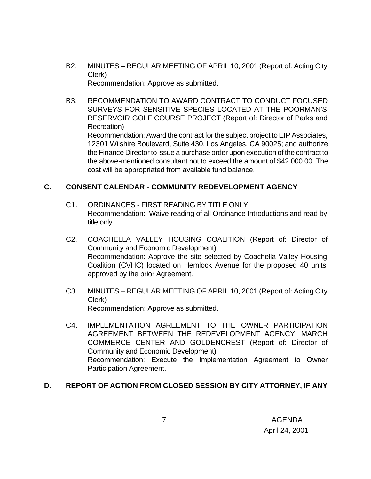- B2. MINUTES REGULAR MEETING OF APRIL 10, 2001 (Report of: Acting City Clerk) Recommendation: Approve as submitted.
- B3. RECOMMENDATION TO AWARD CONTRACT TO CONDUCT FOCUSED SURVEYS FOR SENSITIVE SPECIES LOCATED AT THE POORMAN'S RESERVOIR GOLF COURSE PROJECT (Report of: Director of Parks and Recreation) Recommendation: Award the contract for the subject project to EIP Associates, 12301 Wilshire Boulevard, Suite 430, Los Angeles, CA 90025; and authorize the Finance Director to issue a purchase order upon execution of the contract to the above-mentioned consultant not to exceed the amount of \$42,000.00. The cost will be appropriated from available fund balance.

### **C. CONSENT CALENDAR** - **COMMUNITY REDEVELOPMENT AGENCY**

- C1. ORDINANCES FIRST READING BY TITLE ONLY Recommendation: Waive reading of all Ordinance Introductions and read by title only.
- C2. COACHELLA VALLEY HOUSING COALITION (Report of: Director of Community and Economic Development) Recommendation: Approve the site selected by Coachella Valley Housing Coalition (CVHC) located on Hemlock Avenue for the proposed 40 units approved by the prior Agreement.
- C3. MINUTES REGULAR MEETING OF APRIL 10, 2001 (Report of: Acting City Clerk) Recommendation: Approve as submitted.
- C4. IMPLEMENTATION AGREEMENT TO THE OWNER PARTICIPATION AGREEMENT BETWEEN THE REDEVELOPMENT AGENCY, MARCH COMMERCE CENTER AND GOLDENCREST (Report of: Director of Community and Economic Development) Recommendation: Execute the Implementation Agreement to Owner Participation Agreement.

## **D. REPORT OF ACTION FROM CLOSED SESSION BY CITY ATTORNEY, IF ANY**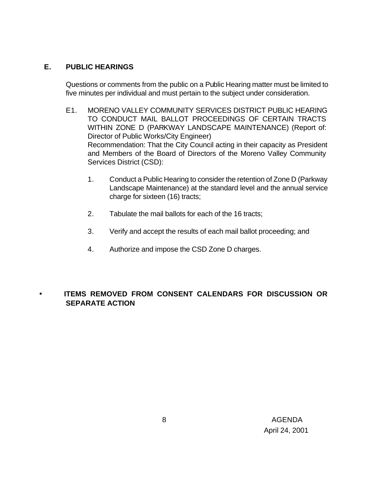## **E. PUBLIC HEARINGS**

Questions or comments from the public on a Public Hearing matter must be limited to five minutes per individual and must pertain to the subject under consideration.

- E1. MORENO VALLEY COMMUNITY SERVICES DISTRICT PUBLIC HEARING TO CONDUCT MAIL BALLOT PROCEEDINGS OF CERTAIN TRACTS WITHIN ZONE D (PARKWAY LANDSCAPE MAINTENANCE) (Report of: Director of Public Works/City Engineer) Recommendation: That the City Council acting in their capacity as President and Members of the Board of Directors of the Moreno Valley Community Services District (CSD):
	- 1. Conduct a Public Hearing to consider the retention of Zone D (Parkway Landscape Maintenance) at the standard level and the annual service charge for sixteen (16) tracts;
	- 2. Tabulate the mail ballots for each of the 16 tracts;
	- 3. Verify and accept the results of each mail ballot proceeding; and
	- 4. Authorize and impose the CSD Zone D charges.

# • **ITEMS REMOVED FROM CONSENT CALENDARS FOR DISCUSSION OR SEPARATE ACTION**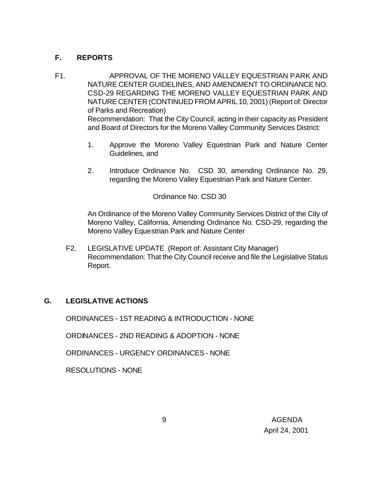# **F. REPORTS**

- F1. APPROVAL OF THE MORENO VALLEY EQUESTRIAN PARK AND NATURE CENTER GUIDELINES, AND AMENDMENT TO ORDINANCE NO. CSD-29 REGARDING THE MORENO VALLEY EQUESTRIAN PARK AND NATURE CENTER (CONTINUED FROM APRIL 10, 2001) (Report of: Director of Parks and Recreation) Recommendation: That the City Council, acting in their capacity as President and Board of Directors for the Moreno Valley Community Services District:
	- 1. Approve the Moreno Valley Equestrian Park and Nature Center Guidelines, and
	- 2. Introduce Ordinance No. CSD 30, amending Ordinance No. 29, regarding the Moreno Valley Equestrian Park and Nature Center.

Ordinance No. CSD 30

An Ordinance of the Moreno Valley Community Services District of the City of Moreno Valley, California, Amending Ordinance No. CSD-29, regarding the Moreno Valley Equestrian Park and Nature Center

F2. LEGISLATIVE UPDATE (Report of: Assistant City Manager) Recommendation: That the City Council receive and file the Legislative Status Report.

## **G. LEGISLATIVE ACTIONS**

ORDINANCES - 1ST READING & INTRODUCTION - NONE

ORDINANCES - 2ND READING & ADOPTION - NONE

ORDINANCES - URGENCY ORDINANCES - NONE

RESOLUTIONS - NONE